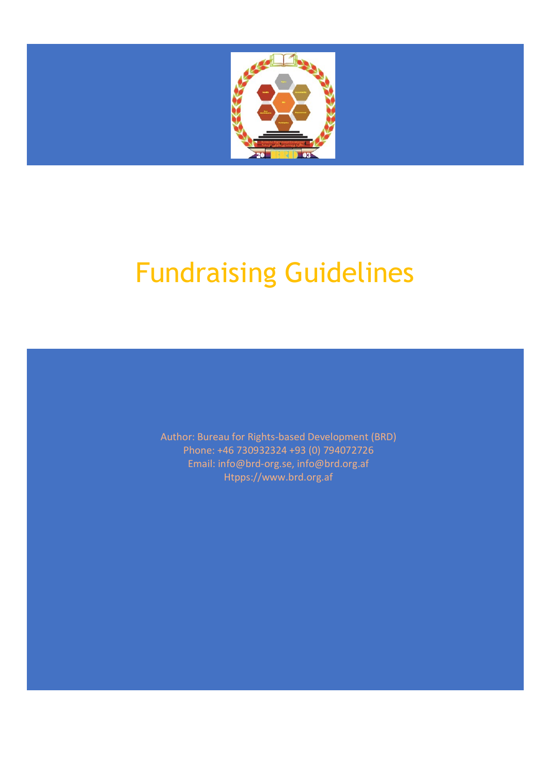

# Fundraising Guidelines

Author: Bureau for Rights-based Development (BRD) Phone: +46 730932324 +93 (0) 794072726 Email: info@brd-org.se, info@brd.org.af Htpps://www.brd.org.af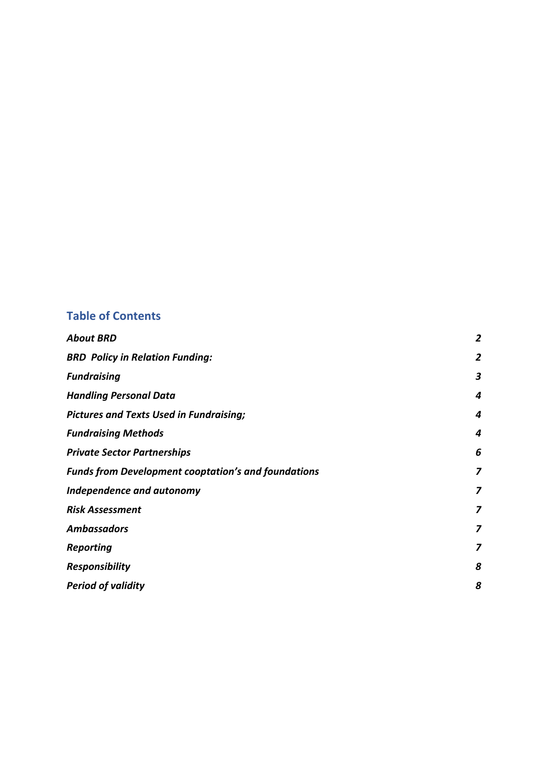# **Table of Contents**

| <b>About BRD</b>                                           | $\overline{\mathbf{c}}$ |
|------------------------------------------------------------|-------------------------|
| <b>BRD Policy in Relation Funding:</b>                     | $\overline{2}$          |
| <b>Fundraising</b>                                         | 3                       |
| <b>Handling Personal Data</b>                              | 4                       |
| <b>Pictures and Texts Used in Fundraising;</b>             | 4                       |
| <b>Fundraising Methods</b>                                 | 4                       |
| <b>Private Sector Partnerships</b>                         | 6                       |
| <b>Funds from Development cooptation's and foundations</b> | 7                       |
| Independence and autonomy                                  | 7                       |
| <b>Risk Assessment</b>                                     | 7                       |
| <b>Ambassadors</b>                                         | 7                       |
| Reporting                                                  | 7                       |
| <b>Responsibility</b>                                      | 8                       |
| <b>Period of validity</b>                                  | 8                       |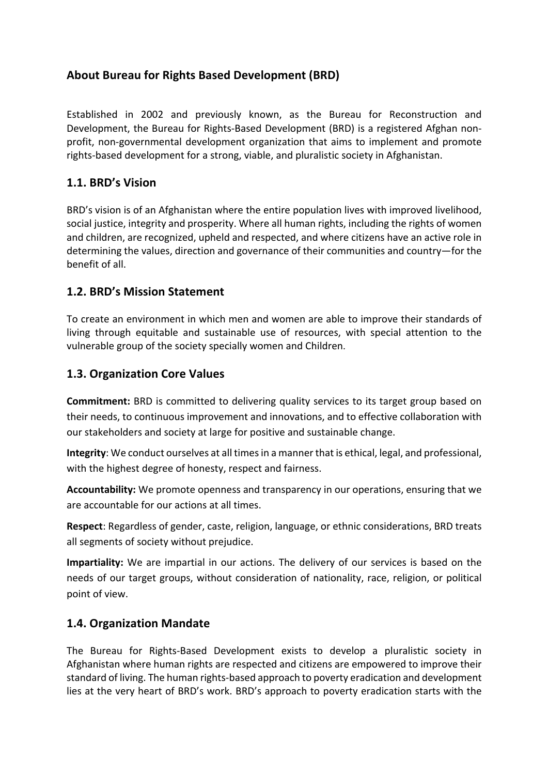## **About Bureau for Rights Based Development (BRD)**

Established in 2002 and previously known, as the Bureau for Reconstruction and Development, the Bureau for Rights-Based Development (BRD) is a registered Afghan nonprofit, non-governmental development organization that aims to implement and promote rights-based development for a strong, viable, and pluralistic society in Afghanistan.

## **1.1. BRD's Vision**

BRD's vision is of an Afghanistan where the entire population lives with improved livelihood, social justice, integrity and prosperity. Where all human rights, including the rights of women and children, are recognized, upheld and respected, and where citizens have an active role in determining the values, direction and governance of their communities and country—for the benefit of all.

## **1.2. BRD's Mission Statement**

To create an environment in which men and women are able to improve their standards of living through equitable and sustainable use of resources, with special attention to the vulnerable group of the society specially women and Children.

## **1.3. Organization Core Values**

**Commitment:** BRD is committed to delivering quality services to its target group based on their needs, to continuous improvement and innovations, and to effective collaboration with our stakeholders and society at large for positive and sustainable change.

**Integrity**: We conduct ourselves at all timesin a manner that is ethical, legal, and professional, with the highest degree of honesty, respect and fairness.

**Accountability:** We promote openness and transparency in our operations, ensuring that we are accountable for our actions at all times.

**Respect**: Regardless of gender, caste, religion, language, or ethnic considerations, BRD treats all segments of society without prejudice.

**Impartiality:** We are impartial in our actions. The delivery of our services is based on the needs of our target groups, without consideration of nationality, race, religion, or political point of view.

## **1.4. Organization Mandate**

The Bureau for Rights-Based Development exists to develop a pluralistic society in Afghanistan where human rights are respected and citizens are empowered to improve their standard of living. The human rights-based approach to poverty eradication and development lies at the very heart of BRD's work. BRD's approach to poverty eradication starts with the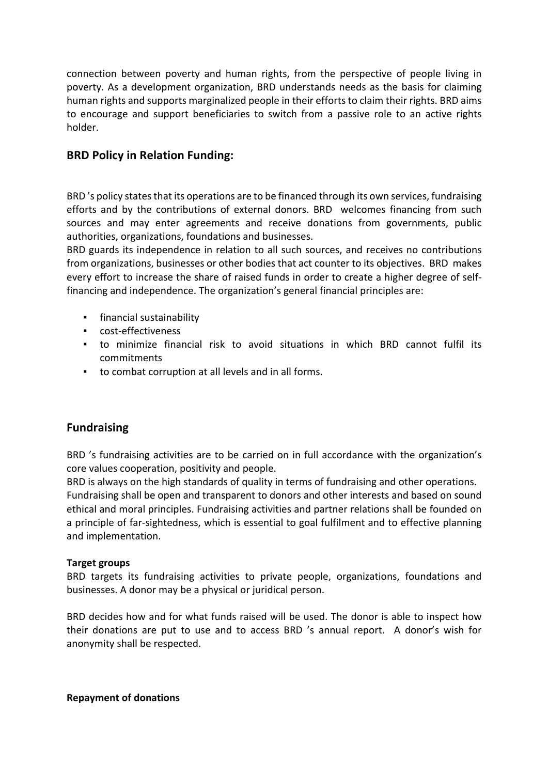connection between poverty and human rights, from the perspective of people living in poverty. As a development organization, BRD understands needs as the basis for claiming human rights and supports marginalized people in their efforts to claim their rights. BRD aims to encourage and support beneficiaries to switch from a passive role to an active rights holder.

## **BRD Policy in Relation Funding:**

BRD 's policy states that its operations are to be financed through its own services, fundraising efforts and by the contributions of external donors. BRD welcomes financing from such sources and may enter agreements and receive donations from governments, public authorities, organizations, foundations and businesses.

BRD guards its independence in relation to all such sources, and receives no contributions from organizations, businesses or other bodies that act counter to its objectives. BRD makes every effort to increase the share of raised funds in order to create a higher degree of selffinancing and independence. The organization's general financial principles are:

- financial sustainability
- cost-effectiveness
- to minimize financial risk to avoid situations in which BRD cannot fulfil its commitments
- to combat corruption at all levels and in all forms.

## **Fundraising**

BRD 's fundraising activities are to be carried on in full accordance with the organization's core values cooperation, positivity and people.

BRD is always on the high standards of quality in terms of fundraising and other operations. Fundraising shall be open and transparent to donors and other interests and based on sound ethical and moral principles. Fundraising activities and partner relations shall be founded on a principle of far-sightedness, which is essential to goal fulfilment and to effective planning and implementation.

#### **Target groups**

BRD targets its fundraising activities to private people, organizations, foundations and businesses. A donor may be a physical or juridical person.

BRD decides how and for what funds raised will be used. The donor is able to inspect how their donations are put to use and to access BRD 's annual report. A donor's wish for anonymity shall be respected.

**Repayment of donations**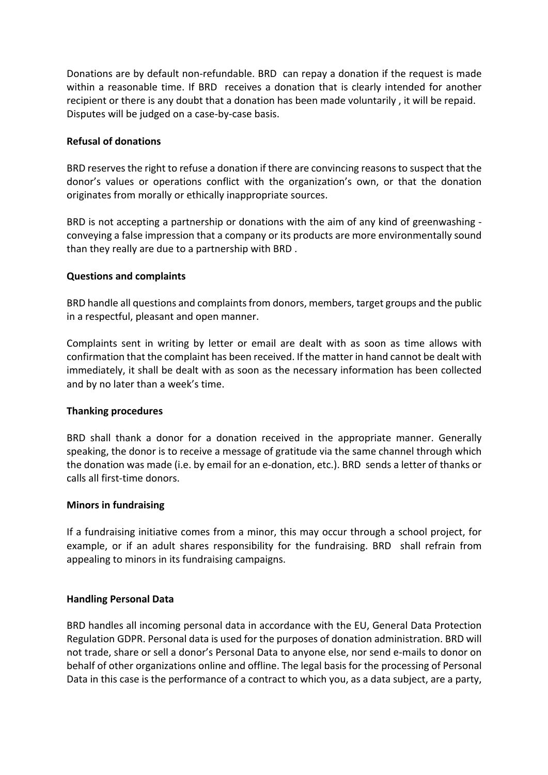Donations are by default non-refundable. BRD can repay a donation if the request is made within a reasonable time. If BRD receives a donation that is clearly intended for another recipient or there is any doubt that a donation has been made voluntarily , it will be repaid. Disputes will be judged on a case-by-case basis.

#### **Refusal of donations**

BRD reservesthe right to refuse a donation if there are convincing reasons to suspect that the donor's values or operations conflict with the organization's own, or that the donation originates from morally or ethically inappropriate sources.

BRD is not accepting a partnership or donations with the aim of any kind of greenwashing conveying a false impression that a company or its products are more environmentally sound than they really are due to a partnership with BRD .

#### **Questions and complaints**

BRD handle all questions and complaints from donors, members, target groups and the public in a respectful, pleasant and open manner.

Complaints sent in writing by letter or email are dealt with as soon as time allows with confirmation that the complaint has been received. If the matter in hand cannot be dealt with immediately, it shall be dealt with as soon as the necessary information has been collected and by no later than a week's time.

#### **Thanking procedures**

BRD shall thank a donor for a donation received in the appropriate manner. Generally speaking, the donor is to receive a message of gratitude via the same channel through which the donation was made (i.e. by email for an e-donation, etc.). BRD sends a letter of thanks or calls all first-time donors.

#### **Minors in fundraising**

If a fundraising initiative comes from a minor, this may occur through a school project, for example, or if an adult shares responsibility for the fundraising. BRD shall refrain from appealing to minors in its fundraising campaigns.

#### **Handling Personal Data**

BRD handles all incoming personal data in accordance with the EU, General Data Protection Regulation GDPR. Personal data is used for the purposes of donation administration. BRD will not trade, share or sell a donor's Personal Data to anyone else, nor send e-mails to donor on behalf of other organizations online and offline. The legal basis for the processing of Personal Data in this case is the performance of a contract to which you, as a data subject, are a party,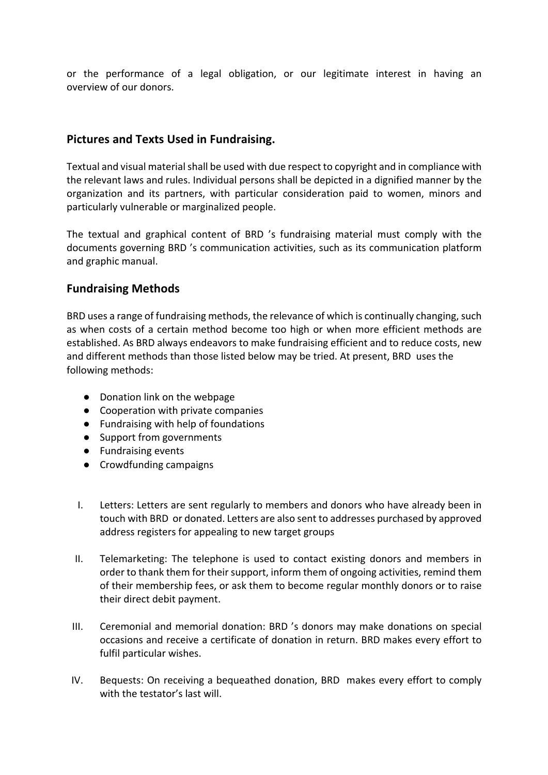or the performance of a legal obligation, or our legitimate interest in having an overview of our donors.

## **Pictures and Texts Used in Fundraising.**

Textual and visual material shall be used with due respect to copyright and in compliance with the relevant laws and rules. Individual persons shall be depicted in a dignified manner by the organization and its partners, with particular consideration paid to women, minors and particularly vulnerable or marginalized people.

The textual and graphical content of BRD 's fundraising material must comply with the documents governing BRD 's communication activities, such as its communication platform and graphic manual.

## **Fundraising Methods**

BRD uses a range of fundraising methods, the relevance of which is continually changing, such as when costs of a certain method become too high or when more efficient methods are established. As BRD always endeavors to make fundraising efficient and to reduce costs, new and different methods than those listed below may be tried. At present, BRD uses the following methods:

- Donation link on the webpage
- Cooperation with private companies
- Fundraising with help of foundations
- Support from governments
- Fundraising events
- Crowdfunding campaigns
- I. Letters: Letters are sent regularly to members and donors who have already been in touch with BRD or donated. Letters are also sent to addresses purchased by approved address registers for appealing to new target groups
- II. Telemarketing: The telephone is used to contact existing donors and members in order to thank them for their support, inform them of ongoing activities, remind them of their membership fees, or ask them to become regular monthly donors or to raise their direct debit payment.
- III. Ceremonial and memorial donation: BRD 's donors may make donations on special occasions and receive a certificate of donation in return. BRD makes every effort to fulfil particular wishes.
- IV. Bequests: On receiving a bequeathed donation, BRD makes every effort to comply with the testator's last will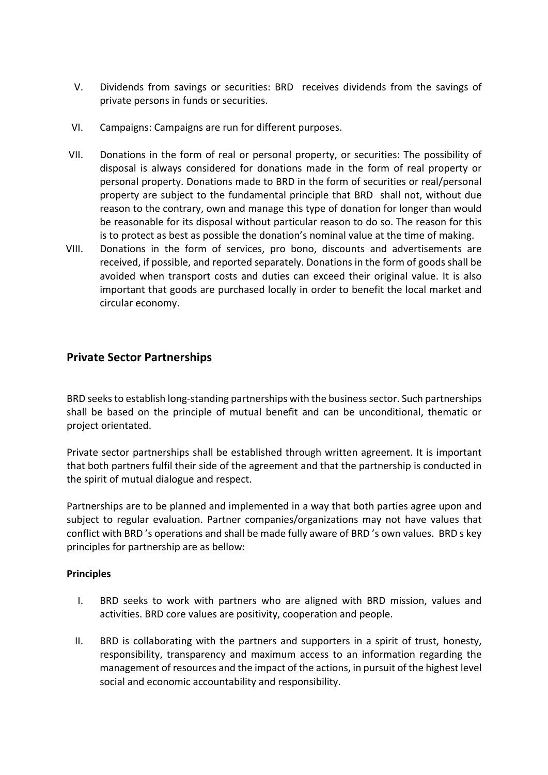- V. Dividends from savings or securities: BRD receives dividends from the savings of private persons in funds or securities.
- VI. Campaigns: Campaigns are run for different purposes.
- VII. Donations in the form of real or personal property, or securities: The possibility of disposal is always considered for donations made in the form of real property or personal property. Donations made to BRD in the form of securities or real/personal property are subject to the fundamental principle that BRD shall not, without due reason to the contrary, own and manage this type of donation for longer than would be reasonable for its disposal without particular reason to do so. The reason for this is to protect as best as possible the donation's nominal value at the time of making.
- VIII. Donations in the form of services, pro bono, discounts and advertisements are received, if possible, and reported separately. Donations in the form of goods shall be avoided when transport costs and duties can exceed their original value. It is also important that goods are purchased locally in order to benefit the local market and circular economy.

## **Private Sector Partnerships**

BRD seeksto establish long-standing partnerships with the business sector. Such partnerships shall be based on the principle of mutual benefit and can be unconditional, thematic or project orientated.

Private sector partnerships shall be established through written agreement. It is important that both partners fulfil their side of the agreement and that the partnership is conducted in the spirit of mutual dialogue and respect.

Partnerships are to be planned and implemented in a way that both parties agree upon and subject to regular evaluation. Partner companies/organizations may not have values that conflict with BRD 's operations and shall be made fully aware of BRD 's own values. BRD s key principles for partnership are as bellow:

#### **Principles**

- I. BRD seeks to work with partners who are aligned with BRD mission, values and activities. BRD core values are positivity, cooperation and people.
- II. BRD is collaborating with the partners and supporters in a spirit of trust, honesty, responsibility, transparency and maximum access to an information regarding the management of resources and the impact of the actions, in pursuit of the highest level social and economic accountability and responsibility.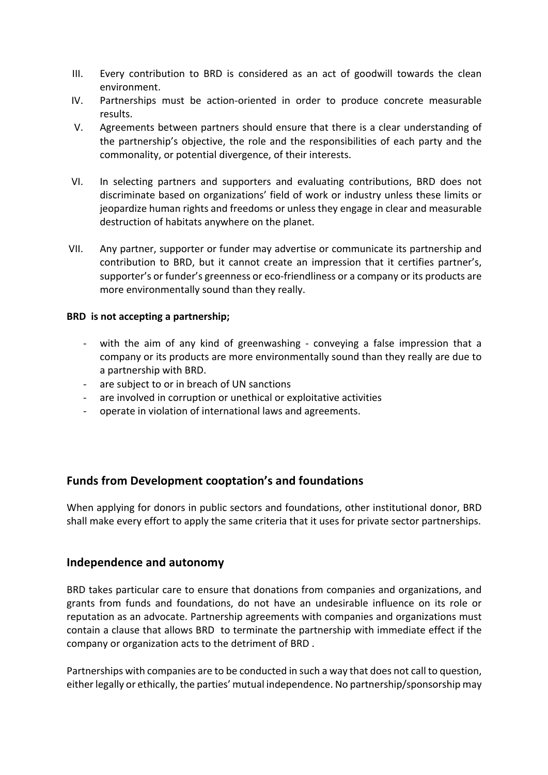- III. Every contribution to BRD is considered as an act of goodwill towards the clean environment.
- IV. Partnerships must be action-oriented in order to produce concrete measurable results.
- V. Agreements between partners should ensure that there is a clear understanding of the partnership's objective, the role and the responsibilities of each party and the commonality, or potential divergence, of their interests.
- VI. In selecting partners and supporters and evaluating contributions, BRD does not discriminate based on organizations' field of work or industry unless these limits or jeopardize human rights and freedoms or unless they engage in clear and measurable destruction of habitats anywhere on the planet.
- VII. Any partner, supporter or funder may advertise or communicate its partnership and contribution to BRD, but it cannot create an impression that it certifies partner's, supporter's or funder's greenness or eco-friendliness or a company or its products are more environmentally sound than they really.

#### **BRD is not accepting a partnership;**

- with the aim of any kind of greenwashing conveying a false impression that a company or its products are more environmentally sound than they really are due to a partnership with BRD.
- are subject to or in breach of UN sanctions
- are involved in corruption or unethical or exploitative activities
- operate in violation of international laws and agreements.

#### **Funds from Development cooptation's and foundations**

When applying for donors in public sectors and foundations, other institutional donor, BRD shall make every effort to apply the same criteria that it uses for private sector partnerships.

#### **Independence and autonomy**

BRD takes particular care to ensure that donations from companies and organizations, and grants from funds and foundations, do not have an undesirable influence on its role or reputation as an advocate. Partnership agreements with companies and organizations must contain a clause that allows BRD to terminate the partnership with immediate effect if the company or organization acts to the detriment of BRD .

Partnerships with companies are to be conducted in such a way that does not call to question, either legally or ethically, the parties' mutual independence. No partnership/sponsorship may